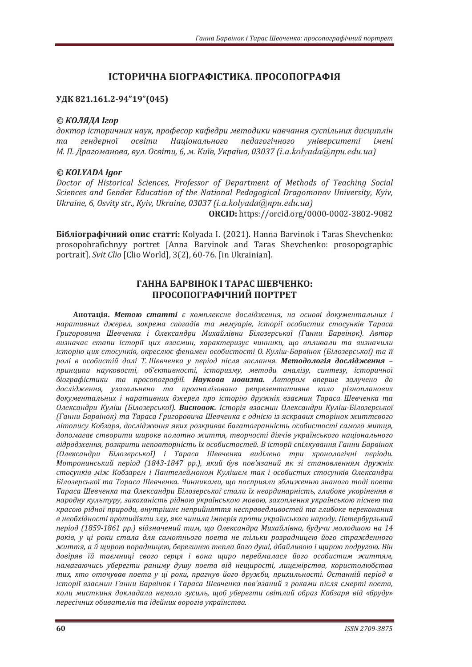# **ІСТОРИЧНА БІОГРАФІСТИКА. ПРОСОПОГРАФІЯ**

## УДК 821.161.2-94"19"(045)

## © *КОЛЯДА Ігор*

доктор *історичних наук, професор кафедри методики навчання суспільних дисциплін* та гендерної освіти Національного педагогічного університеті імені  $M.$  П. Драгоманова, вул. Освіти, 6, м. Київ, Україна, 03037 (i.a.kolyada@npu.edu.ua)

## *© KOLYADA Igor*

Doctor of Historical Sciences, Professor of Department of Methods of Teaching Social Sciences and Gender Education of the National Pedagogical Dragomanov University, Kyiv, *Ukraine, 6, Osvity str., Kyiv, Ukraine, 03037 (i.a.kolyada@npu.edu.ua)* 

**ORCID:** https://orcid.org/0000-0002-3802-9082

**Бібліографічний опис статті:** Kolyada I. (2021). Hanna Barvinok i Taras Shevchenko: prosopohrafichnyy portret [Anna Barvinok and Taras Shevchenko: prosopographic portrait]. Svit Clio [Clio World], 3(2), 60-76. [in Ukrainian].

## TAHHA БАРВІНОК І ТАРАС ШЕВЧЕНКО: ПРОСОПОГРАФІЧНИЙ ПОРТРЕТ

Анотація. Метою статті є комплексне дослідження, на основі документальних і наративних джерел, зокрема спогадів та мемуарів, історії особистих стосунків Тараса Григоровича Шевченка *і Олександри Михайлівни Білозерської (Ганни Барвінок*). Автор визначає emanu iсторії цих взаємин, характеризує чинники, що впливали та визначили icmopiю цих стосунків, окреслює феномен особистості О. Куліш-Барвінок (Білозерської) та її ролі в особистій долі Т. Шевченка у період після заслання. Методологія дослідження тринципи науковості, об'єктивності, *історизму, методи аналізу, синтезу, історичної* біографістики та просопографії. Наукова новизна. Автором вперше залучено до дослідження, узагальнено та проаналізовано репрезентативне коло різнопланових документальних *і наративних джерел про історію дружніх взаємин Тараса Шевченка та ʝˎˈˍ˔˃ːˇ˓ˋ ʙ˖ˎ˪˛ ȋʐ˪ˎˑˊˈ˓˔˟ˍˑ˫ȌǤ ʑˋ˔ːˑ˅ˑˍǤ ʶ˔˕ˑ˓˪ˢ ˅ˊ˃˦ˏˋː ʝˎˈˍ˔˃ːˇ˓ˋ ʙ˖ˎ˪˛-ʐ˪ˎˑˊˈ˓˔˟ˍˑ˫ ȋʒ˃ːːˋʐ˃˓˅˪ːˑˍȌ˕˃ʡ˃˓˃˔˃ʒ˓ˋˆˑ˓ˑ˅ˋ˚˃ʧˈ˅˚ˈːˍ˃˦ˑˇː˪˦ˡ˪ˊˢ˔ˍ˓˃˅ˋ˘˔˕ˑ˓˪ːˑˍˉˋ˕˕˦˅ˑˆˑ літопису Кобзаря, дослідження яких розкриває багатогранність особистості самого митця,* допомагає створити широке полотно життя, творчості діячів українського національного аідродження, розкрити неповторність їх особистостей. В історії спілкування Ганни Барвінок (Олександри Білозерської) і Тараса Шевченка виділено три хронологічні періоди. Мотронинський період (1843-1847 рр.), який був пов'язаний як зі становленням дружніх стосунків між Кобзарем і Пантелеймоном Кулішем так і особистих стосунків Олександри Білозерської та Тараса Шевченка. Чинниками, шо посприяли зближенню знаного тоді поета Тараса Шевченка та Олександри Білозерської стали їх неординарність, глибоке укорінення в народну культуру, закоханість рідною українською мовою, захоплення українською піснею та красою рідної природи, внутрішнє неприйняття несправедливостей та глибоке переконання в необхідності протидіяти злу, яке чинила імперія проти українського народу. Петербурзький період (1859-1861 рр.) відзначений тим, що Олександра Михайлівна, будучи молодшою на 14 років, у ці роки стала для самотнього поета не тільки розрадницею його стражденного життя, а й щирою порадницею, берегинею тепла його душі, дбайливою і щирою подругою. Він довіряв їй таємниці свого серця і вона щиро переймалася його особистим життям, намагаючись уберегти раниму душу поета від нещирості, лицемірства, користолюбства тих, хто оточував поета у ці роки, прагнув його дружби, прихильності. Останній період в *icmopiï взаємин Ганни Барвінок і Тараса Шевченка пов'язаний з роками після смерті поета*, коли мисткиня докладала немало зусиль, щоб уберегти світлий образ Кобзаря від «бруду» пересічних обивателів та ідейних ворогів українства.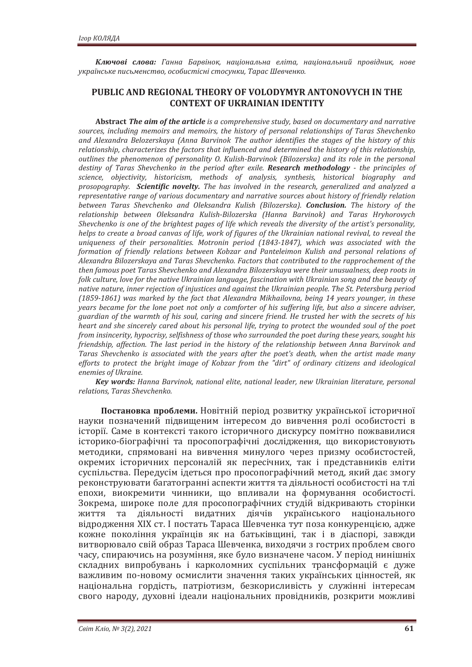Ключові слова: Ганна Барвінок, національна еліта, національний провідник, нове *˖ˍ˓˃˫ː˔˟ˍˈ˒ˋ˔˟ˏˈː˔˕˅ˑǡˑ˔ˑ˄ˋ˔˕˪˔ː˪˔˕ˑ˔˖ːˍˋǡʡ˃˓˃˔ʧˈ˅˚ˈːˍˑǤ*

## **PUBLIC AND REGIONAL THEORY OF VOLODYMYR ANTONOVYCH IN THE CONTEXT OF UKRAINIAN IDENTITY**

**Abstract** *The aim of the article is a comprehensive study, based on documentary and narrative* sources, including memoirs and memoirs, the history of personal relationships of Taras Shevchenko and Alexandra Belozerskaya (Anna Barvinok The author identifies the stages of the history of this relationship, characterizes the factors that influenced and determined the history of this relationship. *outlines the phenomenon of personality O. Kulish-Barvinok (Bilozerska) and its role in the personal destiny of Taras Shevchenko in the period after exile. Research methodology - the principles of science*, objectivity, historicism, methods of analysis, synthesis, historical biography and *prosopography.* Scientific novelty. The has involved in the research, generalized and analyzed a representative range of various documentary and narrative sources about history of friendly relation *between Taras Shevchenko and Oleksandra Kulish (Bilozerska). Conclusion. The history of the* relationship between Oleksandra Kulish-Bilozerska (Hanna Barvinok) and Taras Hryhorovych *Shevchenko is one of the brightest pages of life which reveals the diversity of the artist's personality, helps to create a broad canvas of life, work of figures of the Ukrainian national revival, to reveal the uniqueness of their personalities. Motronin period (1843-1847), which was associated with the formation of friendly relations between Kobzar and Panteleimon Kulish and personal relations of Alexandra Bilozerskava and Taras Shevchenko. Factors that contributed to the rapprochement of the* then famous poet Taras Shevchenko and Alexandra Bilozerskaya were their unusualness, deep roots in *folk culture, love for the native Ukrainian language, fascination with Ukrainian song and the beauty of native nature, inner rejection of injustices and against the Ukrainian people. The St. Petersburg period (1859-1861)* was marked by the fact that Alexandra Mikhailovna, being 14 years younger, in these *years became for the lone poet not only a comforter of his suffering life, but also a sincere adviser, guardian of the warmth of his soul, caring and sincere friend. He trusted her with the secrets of his heart and she sincerely cared about his personal life, trying to protect the wounded soul of the poet from insincerity, hypocrisy, selfishness of those who surrounded the poet during these years, sought his friendship, affection. The last period in the history of the relationship between Anna Baryinok and Taras Shevchenko is associated with the years after the poet's death, when the artist made many* efforts to protect the bright image of Kobzar from the "dirt" of ordinary citizens and ideological *enemies of Ukraine.* 

**Key words:** Hanna Barvinok, national elite, national leader, new Ukrainian literature, personal relations, Taras Shevchenko.

Постановка проблеми. Новітній період розвитку української історичної науки позначений підвищеним інтересом до вивчення ролі особистості в icтopiï. Саме в контексті такого історичного дискурсу помітно пожвавилися історико-біографічні та просопографічні дослідження, що використовують методики, спрямовані на вивчення минулого через призму особистостей, окремих історичних персоналій як пересічних, так і представників еліти суспільства. Передусім ідеться про просопографічний метод, який дає змогу реконструювати багатогранні аспекти життя та діяльності особистості на тлі епохи, виокремити чинники, що впливали на формування особистості. Зокрема, широке поле для просопографічних студій відкривають сторінки ЖИТТЯ ТА ДІЯЛЬНОСТІ ВИДАТНИХ ДІЯЧІВ УКРАЇНСЬКОГО НАЦІОНАЛЬНОГО відродження XIX ст. І постать Тараса Шевченка тут поза конкуренцією, адже кожне покоління українців як на батьківщині, так і в діаспорі, завжди витворювало свій образ Тараса Шевченка, виходячи з гострих проблем свого часу, спираючись на розуміння, яке було визначене часом. У період нинішніх складних випробувань і карколомних суспільних трансформацій є дуже важливим по-новому осмислити значення таких українських цінностей, як національна гордість, патріотизм, безкорисливість у служінні інтересам свого народу, духовні ідеали національних провідників, розкрити можливі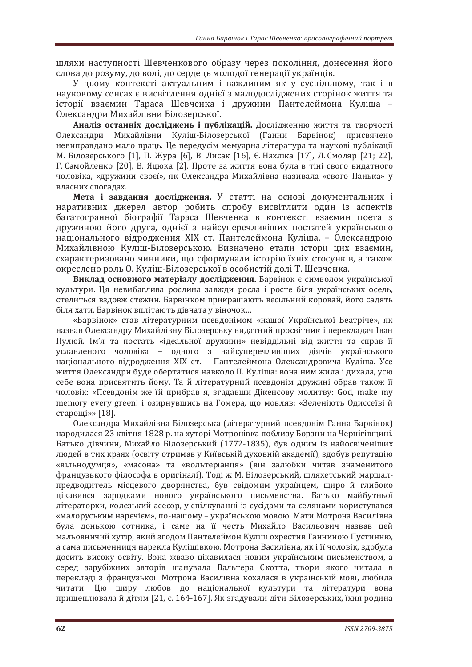шляхи наступності Шевченкового образу через покоління, донесення його слова до розуму, до волі, до сердець молодої генерації українців.

У цьому контексті актуальним і важливим як у суспільному, так і в науковому сенсах є висвітлення однієї з малодосліджених сторінок життя та icторії взаємин Тараса Шевченка і дружини Пантелеймона Куліша – Олександри Михайлівни Білозерської.

Аналіз останніх досліджень і публікацій. Дослідженню життя та творчості Олександри Михайлівни Куліш-Білозерської (Ганни Барвінок) присвячено невиправдано мало праць. Це передусім мемуарна література та наукові публікації М. Білозерського [1], П. Жура [6], В. Лисак [16], Є. Нахліка [17], Л. Смоляр [21; 22], Г. Самойленко [20], В. Яцюка [2]. Проте за життя вона була в тіні свого видатного чоловіка, «дружини своєї», як Олександра Михайлівна називала «свого Панька» у власних спогадах.

Мета і завдання дослідження. У статті на основі документальних і наративних джерел автор робить спробу висвітлити один із аспектів багатогранної біографії Тараса Шевченка в контексті взаємин поета з дружиною його друга, однієї з найсуперечливіших постатей українського національного відродження XIX ст. Пантелеймона Куліша, - Олександрою Михайлівною Куліш-Білозерською. Визначено етапи історії цих взаємин. схарактеризовано чинники, що сформували історію їхніх стосунків, а також окреслено роль О. Куліш-Білозерської в особистій долі Т. Шевченка.

Виклад основного матеріалу дослідження. Барвінок є символом української культури. Ця невибаглива рослина завжди росла і росте біля українських осель, стелиться вздовж стежин. Барвінком прикрашають весільний коровай, його садять біля хати. Барвінок вплітають дівчата у віночок...

«Барвінок» став літературним псевдонімом «нашої Української Беатріче», як назвав Олександру Михайлівну Білозерську видатний просвітник і перекладач Іван Пулюй. Ім'я та постать «ідеальної дружини» невіддільні від життя та справ її уславленого чоловіка - одного з найсуперечливіших діячів українського національного відродження XIX ст. – Пантелеймона Олександровича Куліша. Усе життя Олександри буде обертатися навколо П. Куліша: вона ним жила і дихала, усю себе вона присвятить йому. Та й літературний псевдонім дружині обрав також її чоловік: «Псевдонім же їй прибрав я, згадавши Дікенсову молитву: God, make my тетогу every green! і озирнувшись на Гомера, що мовляв: «Зеленіють Одиссеїві й старощі»» [18].

Олександра Михайлівна Білозерська (літературний псевдонім Ганна Барвінок) народилася 23 квітня 1828 р. на хуторі Мотронівка поблизу Борзни на Чернігівщині. Батько дівчини, Михайло Білозерський (1772-1835), був одним із найосвіченіших людей в тих краях (освіту отримав у Київській духовній академії), здобув репутацію «вільнолумия», «масона» та «вольтеріания» (він залюбки читав знаменитого французького філософа в оригіналі). Тоді ж М. Білозерський, шляхетський маршалпредводитель місцевого дворянства, був свідомим українцем, щиро й глибоко цікавився зародками нового українського письменства. Батько майбутньої літераторки, колезький асесор, у спілкуванні із сусідами та селянами користувався «малоруським наречієм», по-нашому – українською мовою. Мати Мотрона Василівна була донькою сотника, і саме на її честь Михайло Васильович назвав цей мальовничий хутір, який згодом Пантелеймон Куліш охрестив Ганниною Пустинню, а сама письменниця нарекла Кулішівкою. Мотрона Василівна, як і її чоловік, здобула досить високу освіту. Вона жваво цікавилася новим українським письменством, а серед зарубіжних авторів шанувала Вальтера Скотта, твори якого читала в переклалі з французької. Мотрона Василівна кохалася в українській мові, любила читати. Цю ширу любов до національної культури та літератури вона прищеплювала й дітям [21, с. 164-167]. Як згадували діти Білозерських, їхня родина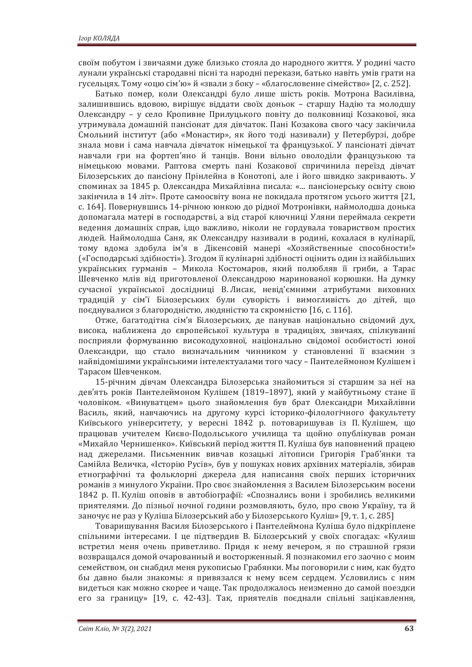своїм побутом і звичаями дуже близько стояла до народного життя. У родині часто лунали українські стародавні пісні та народні перекази, батько навіть умів грати на гусельцях. Тому «оцю сім'ю» й «звали з боку – «благословенне сімейство» [2, с. 252].

Батько помер, коли Олександрі було лише шість років. Мотрона Василівна, залишившись вдовою, вирішує віддати своїх доньок – старшу Надію та молодшу Олександру – у село Кропивне Прилуцького повіту до полковниці Козакової, яка утримувала домашній пансіонат для дівчаток. Пані Козакова свого часу закінчила Смольний інститут (або «Монастир», як його тоді називали) у Петербурзі, добре знала мови і сама навчала дівчаток німецької та французької. У пансіонаті дівчат навчали гри на фортеп'яно й танців. Вони вільно оволоділи французькою та німецькою мовами. Раптова смерть пані Козакової спричинила переїзд дівчат Білозерських до пансіону Прінлейна в Конотопі, але і його швидко закривають. У споминах за 1845 р. Олександра Михайлівна писала: «... пансіонерську освіту свою закінчила в 14 літ». Проте самоосвіту вона не покидала протягом усього життя [21, с. 164]. Повернувшись 14-річною юнкою до рідної Мотронівки, наймолодша донька допомагала матері в господарстві, а від старої ключниці Уляни переймала секрети ведення домашніх справ, і,що важливо, ніколи не гордувала товариством простих людей. Наймолодша Саня, як Олександру називали в родині, кохалася в кулінарії, тому вдома здобула ім'я в Дікенсовій манері «Хозяйственные способности!» («Господарські здібності»). Згодом її кулінарні здібності оцінить один із найбільших українських гурманів – Микола Костомаров, який полюбляв її гриби, а Тарас Шевченко млів від приготовленої Олександрою маринованої корюшки. На думку сучасної української дослідниці В.Лисак, невід'ємними атрибутами виховних традицій у сім'ї Білозерських були суворість і вимогливість до дітей, що поєднувалися з благородністю, людяністю та скромністю [16, с. 116].

Отже, багатодітна сім'я Білозерських, де панував національно свідомий дух, висока, наближена до європейської культура в традиціях, звичаях, спілкуванні посприяли формуванню високодуховної, національно свідомої особистості юної Олександри, що стало визначальним чинником у становленні її взаємин з найвідомішими українськими інтелектуалами того часу – Пантелеймоном Кулішем і Тарасом Шевченком.

15-річним дівчам Олександра Білозерська знайомиться зі старшим за неї на дев'ять років Пантелеймоном Кулішем (1819–1897), який у майбутньому стане її чоловіком. «Винуватцем» цього знайомлення був брат Олександри Михайлівни Василь, який, навчаючись на другому курсі історико-філологічного факультету Київського університету, у вересні 1842 р. потоваришував із П. Кулішем, що працював учителем Києво-Подольського училища та щойно опублікував роман «Михайло Чернишенко». Київський період життя П. Куліша був наповнений працею над джерелами. Письменник вивчав козацькі літописи Григорія Граб'янки та Самійла Величка, «Історію Русів», був у пошуках нових архівних матеріалів, збирав етнографічні та фольклорні джерела для написання своїх перших історичних романів з минулого України. Про своє знайомлення з Василем Білозерським восени 1842 р. П. Куліш оповів в автобіографії: «Спознались вони і зробились великими приятелями. До пізньої ночної години розмовляють, було, про свою Україну, та й заночує не раз у Куліша Білозерський або у Білозерського Куліш» [9, т. 1, с. 285]

Товаришування Василя Білозерського і Пантелеймона Куліша було підкріплене спільними інтересами. І це підтвердив В. Білозерський у своїх спогадах: «Кулиш встретил меня очень приветливо. Придя к нему вечером, я по страшной грязи возвращался домой очарованный и восторженный. Я познакомил его заочно с моим семейством, он снабдил меня рукописью Грабянки. Мы поговорили с ним, как будто бы давно были знакомы: я привязался к нему всем сердцем. Условились с ним видеться как можно скорее и чаще. Так продолжалось неизменно до самой поездки его за границу» [19, с. 42-43]. Так, приятелів поєднали спільні зацікавлення,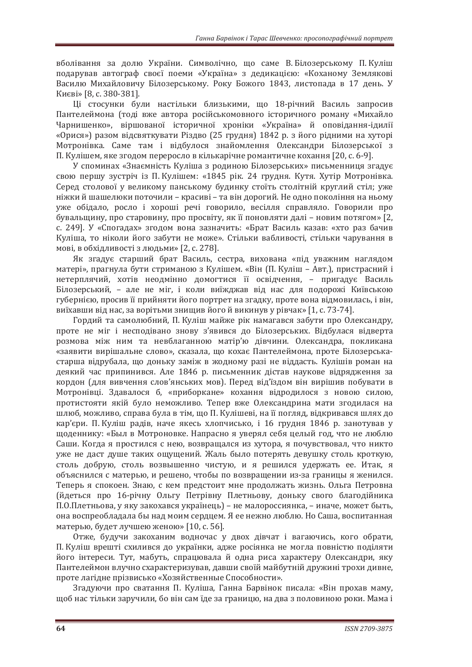вболівання за долю України. Символічно, що саме В. Білозерському П. Куліш подарував автограф своєї поеми «Україна» з дедикацією: «Коханому Землякові Василю Михайловичу Білозерському. Року Божого 1843, листопада в 17 день. У Києві» [8, с. 380-381].

Ші стосунки були настільки близькими, що 18-річний Василь запросив Пантелеймона (тоді вже автора російськомовного історичного роману «Михайло Чарнишенко», віршованої історичної хроніки «Україна» й оповідання-ідилії «Орися») разом відсвяткувати Різдво (25 грудня) 1842 р. з його рідними на хуторі Мотронівка. Саме там і відбулося знайомлення Олександри Білозерської з П. Кулішем, яке згодом переросло в кількарічне романтичне кохання [20, с. 6-9].

У споминах «Знаємність Куліша з родиною Білозерських» письменниця згадує свою першу зустріч із П. Кулішем: «1845 рік. 24 грудня. Кутя. Хутір Мотронівка. Серед столової у великому панському будинку стоїть столітній круглий стіл; уже ніжки й шашелюки поточили – красиві – та він дорогий. Не одно покоління на ньому уже обідало, росло і хороші речі говорило, весілля справляло. Говорили про бувальщину, про старовину, про просвіту, як її поновляти далі – новим потягом» [2, с. 249]. У «Спогадах» згодом вона зазначить: «Брат Василь казав: «хто раз бачив Куліша, то ніколи його забути не може». Стільки вабливості, стільки чарування в мові, в обхідливості з людьми» [2, с. 278].

Як згадує старший брат Василь, сестра, вихована «під уважним наглядом матері», прагнула бути стриманою з Кулішем. «Він (П. Куліш – Авт.), пристрасний і нетерплячий, хотів неодмінно домогтися її освідчення, - пригадує Василь Білозерський, - але не міг, і коли виїжджав від нас для подорожі Київською губернією, просив її прийняти його портрет на згалку, проте вона вілмовилась, і він. виїхавши від нас, за ворітьми знищив його й викинув у рівчак» [1, с. 73-74].

Гордий та самолюбний, П. Куліш майже рік намагався забути про Олександру, проте не міг і несподівано знову з'явився до Білозерських. Відбулася відверта розмова між ним та невблаганною матір'ю дівчини. Олександра, покликана «заявити вирішальне слово», сказала, що кохає Пантелеймона, проте Білозерськастарша відрубала, що доньку заміж в жодному разі не віддасть. Кулішів роман на деякий час припинився. Але 1846 р. письменник дістав наукове відрядження за кордон (для вивчення слов'янських мов). Перед від'їздом він вирішив побувати в Мотронівці. Здавалося б, «приборкане» кохання відродилося з новою силою, протистояти якій було неможливо. Тепер вже Олександрина мати згодилася на шлюб, можливо, справа була в тім, що П. Кулішеві, на її погляд, відкривався шлях до кар'єри. П. Куліш радів, наче якесь хлопчисько, і 16 грудня 1846 р. занотував у щоденнику: «Был в Мотроновке. Напрасно я уверял себя целый год, что не люблю Саши. Когда я простился с нею, возвращался из хутора, я почувствовал, что никто уже не даст душе таких ощущений. Жаль было потерять девушку столь кроткую, столь добрую, столь возвышенно чистую, и я решился удержать ее. Итак, я объяснился с матерью, и решено, чтобы по возвращении из-за границы я женился. Теперь я спокоен. Знаю, с кем предстоит мне продолжать жизнь. Ольга Петровна (йдеться про 16-річну Ольгу Петрівну Плетньову, доньку свого благодійника П.О.Плетньова, у яку закохався українець) – не малороссиянка, – иначе, может быть, она воспреобладала бы над моим сердцем. Я ее нежно люблю. Но Саша, воспитанная матерью, будет лучшею женою» [10, с. 56].

Отже, будучи закоханим водночас у двох дівчат і вагаючись, кого обрати, П. Куліш врешті схилився до українки, адже росіянка не могла повністю поділяти його інтереси. Тут, мабуть, спрацювала й одна риса характеру Олександри, яку Пантелеймон влучно схарактеризував, давши своїй майбутній дружині трохи дивне, проте лагідне прізвисько «Хозяйственные Способности».

Згадуючи про сватання П. Куліша, Ганна Барвінок писала: «Він прохав маму, щоб нас тільки заручили, бо він сам їде за границю, на два з половиною роки. Мама і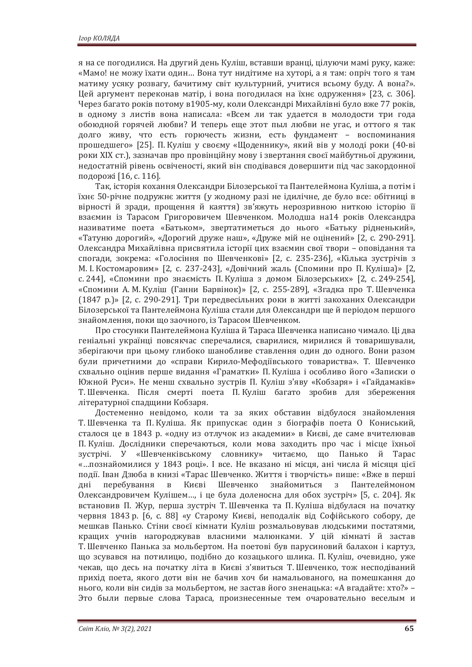я на се погодилися. На другий день Куліш, вставши вранці, цілуючи мамі руку, каже: «Мамо! не можу їхати один... Вона тут нидітиме на хуторі, а я там: опріч того я там матиму усяку розвагу, бачитиму світ культурний, учитися всьому буду. А вона?». Цей аргумент переконав матір, і вона погодилася на їхнє одруження» [23, с. 306]. Через багато років потому в 1905-му, коли Олександрі Михайлівні було вже 77 років. в одному з листів вона написала: «Всем ли так удается в молодости три года обоюдной горячей любви? И теперь еще этот пыл любви не угас, и оттого я так долго живу, что есть горючесть жизни, есть фундамент - воспоминания прошедшего» [25]. П. Куліш у своєму «Щоденнику», який вів у молоді роки (40-ві роки XIX ст.), зазначав про провінційну мову і звертання своєї майбутньої дружини, недостатній рівень освіченості, який він сподівався довершити під час закордонної подорожі [16, с. 116].

Так, історія кохання Олександри Білозерської та Пантелеймона Куліша, а потім і їхнє 50-річне подружнє життя (у жодному разі не ідилічне, де було все: обітниці в вірності й зради, прощення й каяття) зв'яжуть нерозривною ниткою історію її взаємин із Тарасом Григоровичем Шевченком. Молодша на14 років Олександра називатиме поета «Батьком», звертатиметься до нього «Батьку рідненький», «Татуню дорогий», «Дорогий друже наш», «Друже мій не оцінений» [2, с. 290-291]. Олександра Михайлівна присвятила історії цих взаємин свої твори – оповідання та спогади, зокрема: «Голосіння по Шевченкові» [2, с. 235-236], «Кілька зустрічів з М. І. Костомаровим» [2, с. 237-243], «Довічний жаль (Спомини про П. Куліша)» [2, с. 244], «Спомини про знаємість П. Куліша з домом Білозерських» [2, с. 249-254], «Спомини А.М. Куліш (Ганни Барвінок)» [2, с. 255-289], «Згадка про Т. Шевченка  $(1847)$  p.)» [2, с. 290-291]. Три передвесільних роки в житті закоханих Олександри Білозерської та Пантелеймона Куліша стали для Олександри ще й періодом першого знайомлення, поки що заочного, із Тарасом Шевченком.

Про стосунки Пантелеймона Куліша й Тараса Шевченка написано чимало. Ці два геніальні українці повсякчас сперечалися, сварилися, мирилися й товаришували, зберігаючи при цьому глибоко шанобливе ставлення один до одного. Вони разом були причетними до «справи Кирило-Мефодіївського товариства». Т. Шевченко схвально оцінив перше видання «Граматки» П. Куліша і особливо його «Записки о Южной Руси». Не менш схвально зустрів П. Куліш з'яву «Кобзаря» і «Гайдамаків» Т. Шевченка. Після смерті поета П. Куліш багато зробив для збереження літературної спадщини Кобзаря.

Достеменно невідомо, коли та за яких обставин відбулося знайомлення Т. Шевченка та П. Куліша. Як припускає один з біографів поета О Кониський, сталося це в 1843 р. «одну из отлучок из академии» в Києві, де саме вчителював П. Куліш. Дослідники сперечаються, коли мова заходить про час і місце їхньої зустрічі. У «Шевченківському словнику» читаємо, що Панько й Тарас «…познайомилися у 1843 році». І все. Не вказано ні місця, ані числа й місяця цієї події. Іван Дзюба в книзі «Тарас Шевченко. Життя і творчість» пише: «Вже в перші дні перебування в Києві Шевченко знайомиться з Пантелеймоном Олександровичем Кулішем..., і це була доленосна для обох зустріч» [5, с. 204]. Як встановив П. Жур, перша зустріч Т. Шевченка та П. Куліша відбулася на початку червня 1843 р. [6, с. 88] «у Старому Києві, неподалік від Софійського собору, де мешкав Панько. Стіни своєї кімнати Куліш розмальовував людськими постатями, кращих учнів нагороджував власними малюнками. У цій кімнаті й застав Т. Шевченко Панька за мольбертом. На поетові був парусиновий балахон і картуз, що зсувався на потилицю, подібно до козацького шлика. П. Куліш, очевидно, уже чекав, що десь на початку літа в Києві з'явиться Т. Шевченко, тож несподіваний прихід поета, якого доти він не бачив хоч би намальованого, на помешкання до нього, коли він сидів за мольбертом, не застав його зненацька: «А вгадайте: хто?» -Это были первые слова Тараса, произнесенные тем очаровательно веселым и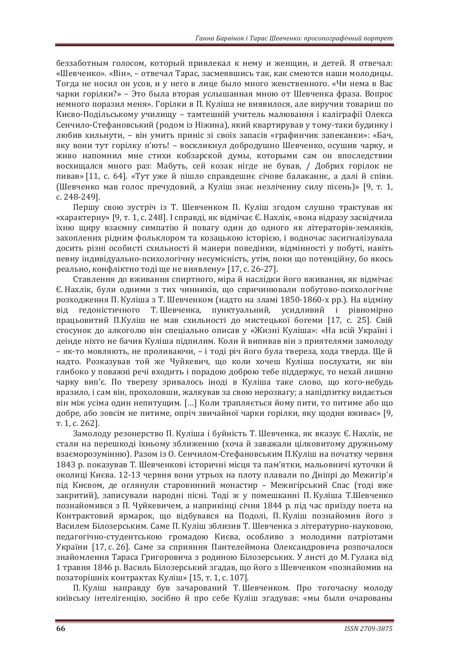беззаботным голосом, который привлекал к нему и женщин, и детей. Я отвечал: «Шевченко». «Він», - отвечал Тарас, засмеявшись так, как смеются наши молодицы. Тогда не носил он усов, и у него в лице было много женственного. «Чи нема в Вас чарки горілки?» – Это была вторая услышанная мною от Шевченка фраза. Вопрос немного поразил меня». Горілки в П. Куліша не виявилося, але виручив товарищ по Києво-Подільському училищу - тамтешній учитель малювання і каліграфії Олекса Сенчило-Стефановський (родом із Ніжина), який квартирував у тому-таки будинку і любив хильнути. – він умить приніс зі своїх запасів «графинчик запеканки»: «Бач. яку вони тут горілку п'ють! - воскликнул добродушно Шевченко, осушив чарку, и ЖИВО НАПОМНИЛ МНЕ СТИХИ КОбЗАРСКОЙ ДУМЫ, КОТОРЫМИ САМ ОН ВПОСЛЕДСТВИИ восхищался много раз: Мабуть, сей козак нігде не бував, / Добрих горілок не пивав» [11, с. 64]. «Тут уже й пішло справдешнє січове балаканнє, а далі й співи. (Шевченко мав голос пречудовий, а Куліш знає незліченну силу пісень)» [9, т. 1, c. 248-249].

Першу свою зустріч із Т. Шевченком П. Куліш згодом слушно трактував як «характерну» [9, т. 1, с. 248]. I справді, як відмічає Є. Нахлік, «вона відразу засвідчила їхню щиру взаємну симпатію й повагу один до одного як літераторів-земляків, захоплених рідним фольклором та козацькою історією, і водночас засигналізувала досить різні особисті схильності й манери поведінки, відмінності у побуті, навіть певну індивідуально-психологічну несумісність, утім, поки що потенційну, бо якось реально, конфліктно тоді ще не виявлену» [17, с. 26-27].

Ставлення до вживання спиртного, міра й наслідки його вживання, як відмічає Є. Нахлік, були одними з тих чинників, що спричинювали побутово-психологічне розходження П. Куліша з Т. Шевченком (надто на зламі 1850-1860-х рр.). На відміну від гедоністичного Т. Шевченка, пунктуальний, усидливий і рівномірно працьовитий П.Куліш не мав схильності до мистецької богеми [17, с. 25]. Свій стосунок до алкоголю він спеціально описав у «Жизні Куліша»: «На всій Україні і деінде ніхто не бачив Куліша підпилим. Коли й випивав він з приятелями замолоду – як-то мовляють, не проливаючи, – і тоді річ його була твереза, хода тверда. Ще й надто. Розказував той же Чуйкевич, що коли хочеш Куліша послухати, як він глибоко у поважні речі входить і порадою доброю тебе піддержує, то нехай лишню чарку вип'є. По тверезу зривалось іноді в Куліша таке слово, що кого-небудь вразило, і сам він, прохоловши, жалкував за свою нерозвагу; а напідпитку видається він між усіма один непитущим. [...] Коли трапляється йому пити, то питиме або що добре, або зовсім не питиме, опріч звичайної чарки горілки, яку щодня вживає» [9, T. 1. c. 2621.

Замолоду резонерство П. Куліша і буйність Т. Шевченка, як вказує Є. Нахлік, не стали на перешкоді їхньому зближенню (хоча й заважали цілковитому дружньому взаєморозумінню). Разом із О. Сенчилом-Стефановським П.Куліш на початку червня 1843 р. показував Т. Шевченкові історичні місця та пам'ятки, мальовничі куточки й околиці Києва. 12-13 червня вони утрьох на плоту плавали по Дніпрі до Межигір'я під Києвом, де оглянули старовинний монастир - Межигірський Спас (тоді вже закритий), записували народні пісні. Тоді ж у помешканні П. Куліша Т.Шевченко познайомився з П. Чуйкевичем, а наприкінці січня 1844 р. під час приїзду поета на Контрактовий ярмарок, що відбувався на Подолі, П. Куліш познайомив його з Василем Білозерським. Саме П. Куліш зблизив Т. Шевченка з літературно-науковою. педагогічно-студентською громадою Києва, особливо з молодими патріотами України [17, с. 26]. Саме за сприяння Пантелеймона Олександровича розпочалося знайомлення Тараса Григоровича з родиною Білозерських. У листі до М. Гулака від 1 травня 1846 р. Василь Білозерський згадав, що його з Шевченком «познайомив на позаторішніх контрактах Куліш» [15, т. 1, с. 107].

П. Куліш направду був зачарований Т. Шевченком. Про тогочасну молоду київську інтелігенцію, зосібно й про себе Куліш згадував: «мы были очарованы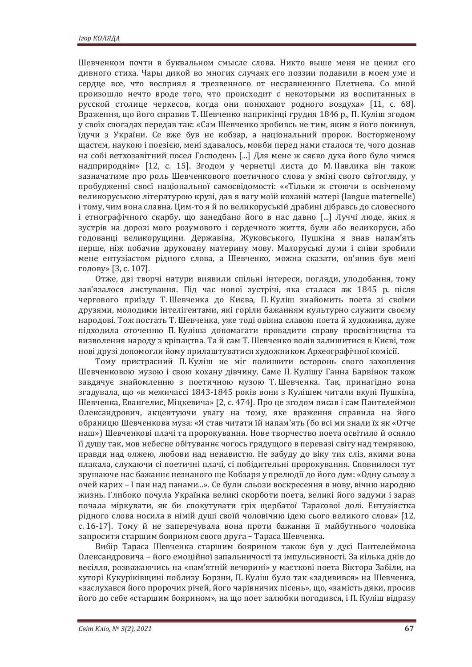Шевченком почти в буквальном смысле слова. Никто выше меня не ценил его дивного стиха. Чары дикой во многих случаях его поззии подавили в моем уме и сердце все, что восприял я трезвенного от несравненного Плетнева. Со мной произошло нечто вроде того, что происходит с некоторыми из воспитанных в русской столице черкесов, когда они понюхают родного воздуха» [11, с. 68]. Враження, що його справив Т. Шевченко наприкінці грудня 1846 р., П. Куліш згодом у своїх спогадах передав так: «Сам Шевченко зробивсь не тим, яким я його покинув, їдучи з України. Се вже був не кобзар, а національний пророк. Восторженому щастєм, наукою і поезією, мені здавалось, мовби перед нами сталося те, чого дознав на собі ветхозавітний посел Господень [...] Для мене ж сяєво духа його було чимся надприроднім» [12, с. 15]. Згодом у чернетці листа до М. Павлика він також зазначатиме про роль Шевченкового поетичного слова у зміні свого світогляду, у пробудженні своєї національної самосвідомості: ««Тільки ж стоючи в освіченому великоруською літературою крузі, дав я вагу моїй коханій матері (langue maternelle) і тому, чим вона славна. Цим-то я й по великоруській драбині дібравсь до словесного і етнографічного скарбу, що занедбано його в нас давно [...] Луччі люде, яких я зустрів на дорозі мого розумового і сердечного життя, були або великоруси, або годованці великорущини. Державіна, Жуковського, Пушкіна я знав напам'ять перше, ніж побачив друковану материну мову. Малоруські думи і співи зробили мене ентузіастом рідного слова, а Шевченко, можна сказати, оп'янив був мені голову» [3, с. 107].

Отже, дві творчі натури виявили спільні інтереси, погляди, уподобання, тому зав'язалося листування. Під час нової зустрічі, яка сталася аж 1845 р. після чергового приїзду Т. Шевченка до Києва, П. Куліш знайомить поета зі своїми друзями, молодими інтелігентами, які горіли бажанням культурно служити своєму народові. Тож постать Т. Шевченка, уже тоді овіяна славою поета й художника, дуже підходила оточенню П. Куліша допомагати провадити справу просвітництва та визволення народу з кріпацтва. Та й сам Т. Шевченко волів залишитися в Києві, тож нові друзі допомогли йому прилаштуватися художником Археографічної комісії.

Тому пристрасний П. Куліш не міг полишити осторонь свого захоплення Шевченковою музою і свою кохану дівчину. Саме П. Кулішу Ганна Барвінок також завдячує знайомленню з поетичною музою Т. Шевченка. Так, принагідно вона згадувала, що «в межичассі 1843-1845 років вони з Кулішем читали вкупі Пушкіна, Шевченка, Евангелиє, Міцкевича» [2, с. 474]. Про це згодом писав і сам Пантелеймон Олександрович, акцентуючи увагу на тому, яке враження справила на його обраницю Шевченкова муза: «Я став читати їй напам'ять (бо всі ми знали їх як «Отче наш») Шевченкові плачі та пророкування. Нове творчество поета освітило й осяяло її душу так, мов небесне обітуваннє чогось грядущого в перевазі світу над темрявою, правди над олжею, любови над ненавистю. Не забуду до віку тих сліз, якими вона плакала, слухаючи сі поетичні плачі, сі побілительні пророкування. Сповнилося тут зрушаюче нас бажаннє незнаного ще Кобзаря у прелюдії до його дум: «Одну сльозу з очей карих – I пан над панами...». Се були сльози воскресення в нову, вічню народню жизнь. Глибоко почула Українка великі скорботи поета, великі його задуми і зараз почала міркувати, як би спокутувати гріх щербатої Тарасової долі. Ентузіястка рідного слова носила в німій душі своїй чоловічню ідею сього великого слова» [12, с. 16-17]. Тому й не заперечувала вона проти бажання її майбутнього чоловіка запросити старшим боярином свого друга - Тараса Шевченка.

Вибір Тараса Шевченка старшим боярином також був у дусі Пантелеймона Олександровича – його емоційної запальничості та імпульсивності. За кілька днів до весілля, розважаючись на «пам'ятній вечорині» у маєткові поета Віктора Забіли, на хуторі Кукуріківщині поблизу Борзни, П. Куліш було так «задивився» на Шевченка, «заслухався його пророчих річей, його чарівничих пісень», що, «замість дяки, просив його до себе «старшим боярином», на що поет залюбки погодився, і П. Куліш відразу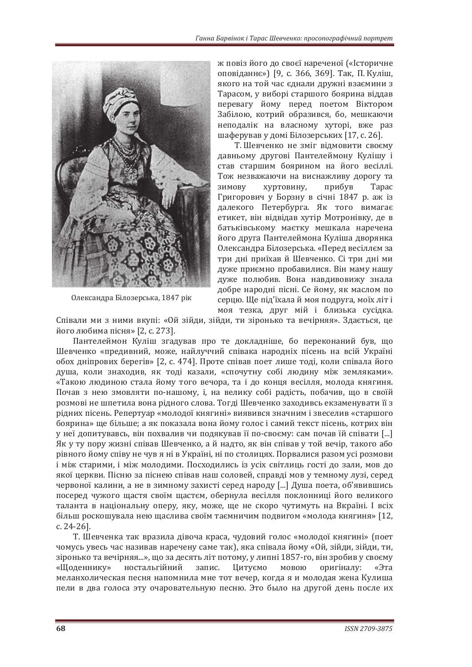

Олександра Білозерська, 1847 рік

ж повіз його до своєї нареченої («Історичне оповіданнє») [9, с. 366, 369]. Так, П. Куліш, якого на той час єднали дружні взаємини з Тарасом, у виборі старшого боярина віддав перевагу йому перед поетом Віктором Забілою, котрий образився, бо, мешкаючи неподалік на власному хуторі, вже раз шаферував у домі Білозерських [17, с. 26].

Т. Шевченко не зміг відмовити своєму давньому другові Пантелеймону Кулішу і став старшим боярином на його весіллі. Тож незважаючи на виснажливу дорогу та зимову хуртовину, прибув Тарас Григорович у Борзну в січні 1847 р. аж із далекого Петербурга. Як того вимагає етикет, він відвідав хутір Мотронівку, де в батьківському маєтку мешкала наречена його друга Пантелеймона Куліша дворянка Олександра Білозерська. «Перед весіллєм за три дні приїхав й Шевченко. Сі три дні ми дуже приємно пробавилися. Він маму нашу дуже полюбив. Вона навдивовижу знала добре народні пісні. Се йому, як маслом по серцю. Ще під'їхала й моя подруга, моїх літ і моя тезка, друг мій і близька сусідка.

Співали ми з ними вкупі: «Ой зійди, зійди, ти зіронько та вечірняя». Здається, це його любима пісня» [2, с. 273].

Пантелеймон Куліш згадував про те докладніше, бо переконаний був, що Шевченко «предивний, може, найлуччий співака народніх пісень на всій Україні обох дніпрових берегів» [2, с. 474]. Проте співав поет лише тоді, коли співала його душа, коли знаходив, як тоді казали, «спочутну собі людину між земляками». «Такою людиною стала йому того вечора, та і до конця весілля, молода княгиня. Почав з нею змовляти по-нашому, і, на велику собі радість, побачив, що в своїй розмові не шпетила вона рідного слова. Тогді Шевченко заходивсь екзаменувати її з рідних пісень. Репертуар «молодої княгині» виявився значним і звеселив «старшого боярина» ще більше; а як показала вона йому голос і самий текст пісень, котрих він у неї допитувавсь, він похвалив чи подякував її по-своєму: сам почав їй співати [...] Як у ту пору жизні співав Шевченко, а й надто, як він співав у той вечір, такого або рівного йому співу не чув я ні в Україні, ні по столицях. Порвалися разом усі розмови і між старими, і між молодими. Посходились із усіх світлиць гості до зали, мов до якої церкви. Пісню за піснею співав наш соловей, справді мов у темному лузі, серед червоної калини, а не в зимному захисті серед народу [...] Душа поета, об'явившись посеред чужого щастя своїм щастєм, обернула весілля поклонниці його великого таланта в національну оперу, яку, може, ще не скоро чутимуть на Вкраїні. І всіх більш роскошувала нею щаслива своїм таємничим подвигом «молода княгиня» [12,  $c. 24 - 26$ ].

Т. Шевченка так вразила дівоча краса, чудовий голос «молодої княгині» (поет чомусь увесь час називав наречену саме так), яка співала йому «Ой, зійди, зійди, ти, зіронько та вечірняя...», що за десять літ потому, у липні 1857-го, він зробив у своєму «Щоденнику» ностальгійний запис. Цитуємо мовою оригіналу: «Эта меланхолическая песня напомнила мне тот вечер, когда я и молодая жена Кулиша пели в два голоса эту очаровательную песню. Это было на другой день после их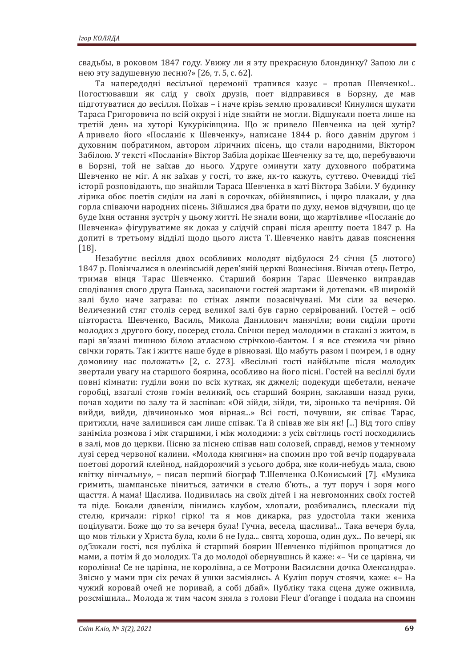свадьбы, в роковом 1847 году. Увижу ли я эту прекрасную блондинку? Запою ли с нею эту задушевную песню?» [26, т. 5, с. 62].

Та напередодні весільної церемонії трапився казус - пропав Шевченко!... Погостювавши як слід у своїх друзів, поет відправився в Борзну, де мав підготуватися до весілля. Поїхав – і наче крізь землю провалився! Кинулися шукати Тараса Григоровича по всій окрузі і ніде знайти не могли. Відшукали поета лише на третій день на хуторі Кукуріківщина. Що ж привело Шевченка на цей хутір? Апривело його «Посланіє к Шевченку», написане 1844 р. його давнім другом і духовним побратимом, автором ліричних пісень, що стали народними, Віктором Забілою. У тексті «Посланія» Віктор Забіла дорікає Шевченку за те, що, перебуваючи в Борзні, той не заїхав до нього. Удруге оминути хату духовного побратима Шевченко не міг. А як заїхав у гості, то вже, як-то кажуть, суттєво. Очевидці тієї історії розповідають, що знайшли Тараса Шевченка в хаті Віктора Забіли. У будинку лірика обоє поетів сиділи на лаві в сорочках, обійнявшись, і щиро плакали, у два горла співаючи народних пісень. Зійшлися два брати по духу, немов відчувши, що це буде їхня остання зустріч у цьому житті. Не знали вони, що жартівливе «Посланіє до Шевченка» фігуруватиме як доказ у слідчій справі після арешту поета 1847 р. На допиті в третьому відділі щодо цього листа Т. Шевченко навіть давав пояснення [18].

Незабутнє весілля двох особливих молодят відбулося 24 січня (5 лютого) 1847 р. Повінчалися в оленівській дерев'яній церкві Вознесіння. Вінчав отець Петро. тримав вінця Тарас Шевченко. Старший боярин Тарас Шевченко виправдав сподівання свого друга Панька, засипаючи гостей жартами й дотепами. «В широкій залі було наче заграва: по стінах лямпи позасвічувані. Ми сіли за вечерю. Величезний стяг столів серед великої залі був гарно сервірований. Гостей - осіб півтораста. Шевченко, Василь, Микола Данилович манячіли; вони сиділи проти молодих з другого боку, посеред стола. Свічки перед молодими в стакані з житом, в парі зв'язані пишною білою атласною стрічкою-бантом. І я все стежила чи рівно свічки горять. Так і життє наше буде в рівновазі. Що мабуть разом і помрем, і в одну домовину нас положать» [2, с. 273]. «Весільні гості найбільше після молодих звертали увагу на старшого боярина, особливо на його пісні. Гостей на весіллі були повні кімнати: гуділи вони по всіх кутках, як джмелі; подекуди щебетали, неначе горобці, взагалі стояв гомін великий, ось старший боярин, заклавши назад руки, почав ходити по залу та й заспівав: «Ой зійди, зійди, ти, зіронько та вечірняя. Ой вийди, вийди, дівчинонько моя вірная...» Всі гості, почувши, як співає Тарас, притихли, наче залишився сам лише співак. Та й співав же він як! [...] Від того співу заніміла розмова і між старшими, і між молодими: з усіх світлиць гості посходились в залі, мов до церкви. Пісню за піснею співав наш соловей, справді, немов у темному лузі серед червоної калини. «Молода княгиня» на спомин про той вечір подарувала поетові дорогий клейнод, найдорожчий з усього добра, яке коли-небудь мала, свою квітку вінчальну», - писав перший біограф Т.Шевченка О.Кониський [7]. «Музика гримить, шампанське піниться, затички в стелю б'ють., а тут поруч і зоря мого щасття. А мама! Щаслива. Подивилась на своїх дітей і на невгомонних своїх гостей та піде. Бокали дзвеніли, пінились клубом, хлопали, розбивались, плескали під стелю, кричали: гірко! гірко! та я мов дикарка, раз удостоїла таки жениха поцілувати. Боже що то за вечеря була! Гучна, весела, щаслива!... Така вечеря була, що мов тільки у Христа була, коли б не Іуда... свята, хороша, один дух... По вечері, як од'їзжали гості, вся публіка й старший боярин Шевченко підійшов прощатися до мами, а потім й до молодих. Та до молодої обернувшись й каже: «- Чи се царівна, чи королівна! Се не царівна, не королівна, а се Мотрони Василєвни дочка Олександра». Звісно у мами при сіх речах й ушки засміялись. А Куліш поруч стоячи, каже: «- На чужий коровай очей не поривай, а собі дбай». Публіку така сцена дуже оживила, розсмішила... Молода ж тим часом зняла з голови Fleur d'orange і подала на спомин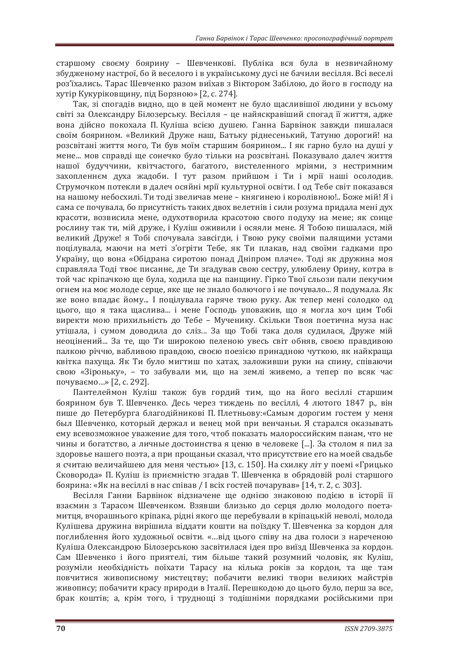старшому своєму боярину - Шевченкові. Публіка вся була в незвичайному збудженому настрої, бо й веселого і в українському дусі не бачили весілля. Всі веселі роз'їхались. Тарас Шевченко разом виїхав з Віктором Забілою, до його в господу на хутір Кукуріковщину, під Борзною» [2, с. 274].

Так, зі спогадів видно, що в цей момент не було шасливішої людини у всьому світі за Олександру Білозерську. Весілля - це найяскравіший спогад її життя, адже вона дійсно покохала П. Куліша всією душею. Ганна Барвінок завжди пишалася своїм боярином, «Великий Друже наш. Батьку ріднесенький. Татуню дорогий! на розсвітані життя мого, Ти був моїм старшим боярином... І як гарно було на душі у мене... мов справді ще сонечко було тільки на розсвітані. Показувало далеч життя нашої будуччини, квітчастого, багатого, вистеленного мріями, з нестримним захопленнєм духа жадоби. І тут разом прийшом і Ти і мрії наші осолодив. Струмочком потекли в далеч осяйні мрії культурної освіти. І од Тебе світ показався на нашому небосхилі. Ти тоді звеличав мене – княгинею і королівною!.. Боже мій! Я і сама се почувала, бо присутність таких двох велетнів і сили розума придала мені дух красоти, возвисила мене, одухотворила красотою свого подуху на мене; як сонце рослину так ти, мій друже, і Куліш оживили і осяяли мене. Я Тобою пишалася, мій великий Друже! я Тобі спочувала завсігди, і Твою руку своїми палящими устами поцілувала, маючи на меті з'огріти Тебе, як Ти плакав, над своїми гадками про Україну, що вона «Обідрана сиротою понад Дніпром плаче». Тоді як дружина моя справляла Тоді твоє писаннє, де Ти згадував свою сестру, улюблену Орину, котра в той час кріпачкою ще була, ходила ще на панщину. Гірко Твої сльози пали пекучим огнем на моє молоде серце, яке ще не знало болючого і не почувало... Я подумала. Як же воно впадає йому... І поцілувала гаряче твою руку. Аж тепер мені солодко од цього, що я така щаслива... і мене Господь уповажив, що я могла хоч цим Тобі виректи мою прихильність до Тебе - Мученику. Скільки Твоя поетична муза нас утішала, і сумом доводила до сліз... За що Тобі така доля судилася, Друже мій неоцінений... За те, що Ти широкою пеленою увесь світ обняв, своєю правдивою палкою річчю, вабливою правдою, своєю поезією принадною чуткою, як найкраща квітка пахуща. Як Ти було мигтиш по хатах, заложивши руки на спину, співаючи свою «Зіроньку», - то забували ми, що на землі живемо, а тепер по всяк час почуваємо...» [2, с. 292].

Пантелеймон Куліш також був гордий тим, що на його весіллі старшим боярином був Т. Шевченко. Десь через тиждень по весіллі, 4 лютого 1847 р., він пише до Петербурга благодійникові П. Плетньову: «Самым дорогим гостем у меня был Шевченко, который держал и венец мой при венчаньи. Я старался оказывать ему всевозможное уважение для того, чтоб показать малороссийским панам, что не чины и богатство, а личные достоинства я ценю в человеке [...]. За столом я пил за здоровье нашего поэта, а при прощаньи сказал, что присутствие его на моей свадьбе я считаю величайшею для меня честью» [13, с. 150]. На схилку літ у поемі «Грицько Сковорода» П. Куліш із приємністю згадав Т. Шевченка в обрядовій ролі старшого боярина: «Як на весіллі в нас співав / І всіх гостей почарував» [14, т. 2, с. 303].

Весілля Ганни Барвінок відзначене ще однією знаковою подією в історії її взаємин з Тарасом Шевченком. Взявши близько до серця долю молодого поетамитця, вчорашнього кріпака, рідні якого ще перебували в кріпацькій неволі, молода Кулішева дружина вирішила віддати кошти на поїздку Т. Шевченка за кордон для поглиблення його художньої освіти. «...від цього співу на два голоси з нареченою Куліша Олександрою Білозерською засвітилася ідея про виїзд Шевченка за кордон. Сам Шевченко і його приятелі, тим більше такий розумний чоловік, як Куліш, розуміли необхідність поїхати Тарасу на кілька років за кордон, та ще там повчитися живописному мистептву: побачити великі твори великих майстрів живопису; побачити красу природи в Італії. Перешкодою до цього було, перш за все, брак коштів; а, крім того, і труднощі з тодішніми порядками російськими при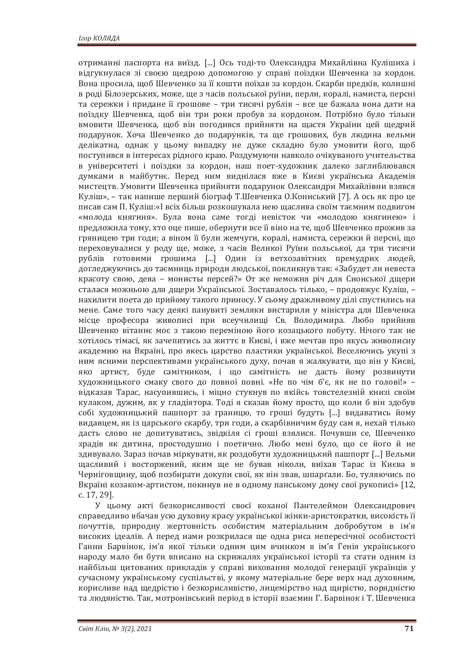отриманні паспорта на виїзд. [...] Ось тоді-то Олександра Михайлівна Кулішиха і відгукнулася зі своєю щедрою допомогою у справі поїздки Шевченка за кордон. Вона просила, шоб Шевченко за її кошти поїхав за кордон. Скарби предків, колишні в роді Білозерських, може, ще з часів польської руїни, перли, коралі, намиста, персні та сережки і придане її грошове – три тисячі рублів – все це бажала вона дати на поїздку Шевченка, щоб він три роки пробув за кордоном. Потрібно було тільки вмовити Шевченка, щоб він погодився прийняти на щастя України цей щедрий подарунок. Хоча Шевченко до подарунків, та ще грошових, був людина вельми делікатна, однак у цьому випадку не дуже складно було умовити його, щоб поступився в інтересах рідного краю. Роздумуючи навколо очікуваного учительства в університеті і поїздки за кордон, наш поет-художник далеко заглиблювався думками в майбутнє. Перед ним виднілася вже в Києві українська Академія мистецтв. Умовити Шевченка прийняти подарунок Олександри Михайлівни взявся Куліш», – так напише перший біограф Т.Шевченка О.Кониський [7]. А ось як про це писав сам П. Куліш:«І всіх більш розкошувала нею щаслива своїм таємним подвигом «молода княгиня». Була вона саме тогді невісток чи «молодою княгинею» і предложила тому, хто оце пише, обернути все її віно на те, щоб Шевченко прожив за гряницею три годи; а віном її були жемчуги, коралі, намиста, сережки й персні, що переховувалися у роду ще, може, з часів Великої Руїни польської, да три тисячи рублів готовими грошима [...] Один із ветхозавітних премудрих людей, догледжуючись до таємниць природи людської, покликнув так: «Забудет ли невеста красоту свою, дева – монисты персей?» От же неможня річ для Сионської дщери сталася можньою для дщери Української. Зоставалось тілько, - продовжує Куліш, нахилити поета до прийому такого приносу. У сьому дражливому ділі спустились на мене. Саме того часу деякі панувиті земляки вистарили у міністра для Шевченка місце професора живописі при всеучилищі Св. Володимира. Любо прийняв Шевченко вітаннє моє з такою переміною його козацького побуту. Нічого так не хотілось тімасі, як зачепитись за життє в Києві, і вже мечтав про якусь живописну академию на Вкраїні, про якесь царство пластики української. Веселючись укупі з ним ясними перспективами українського духу, почав я жалкувати, що він у Києві, яко артист, буде самітником, і що самітність не дасть йому розвинути художницького смаку свого до повної повні. «Не по чім б'є, як не по голові!» відказав Тарас, насупившись, і міцно стукнув по якійсь товстелезній книзі своїм кулаком, дужим, як у гладіятора. Тоді я сказав йому просто, що коли б він здобув собі художницький пашпорт за границю, то гроші будуть [...] видаватись йому видавцем, як із царського скарбу, три годи, а скарбівничим буду сам я, нехай тілько дасть слово не допитуватись, звідкіля сі гроші взялися. Почувши се, Шевченко зрадів як дитина, простодушно і поетично. Любо мені було, що се його й не здивувало. Зараз почав міркувати, як роздобути художницький пашпорт [...] Вельми шасливий і восторжений, яким ше не бував ніколи, виїхав Тарас із Києва в Черніговщину, щоб позбирати докупи свої, як він звав, шпарґали. Бо, туляючись по Вкраїні козаком-артистом, покинув не в одному панському дому свої рукописі» [12, c. 17, 29].

У цьому акті безкорисливості своєї коханої Пантелеймон Олександрович справедливо вбачав усю духовну красу української жінки-аристократки, високість її почуттів, природну жертовність особистим матеріальним добробутом в ім'я високих ідеалів. А перед нами розкрилася ще одна риса непересічної особистості Ганни Барвінок, ім'я якої тільки одним цим вчинком в ім'я Генія українського народу мало би бути вписано на скрижалях української історії та стати одним із найбільш цитованих прикладів у справі виховання молодої генерації українців у сучасному українському суспільстві, у якому матеріальне бере верх над духовним, корисливе над щедрістю і безкорисливістю, лицемірство над щирістю, порядністю та людяністю. Так, мотронівський період в історії взаємин Г. Барвінок і Т. Шевченка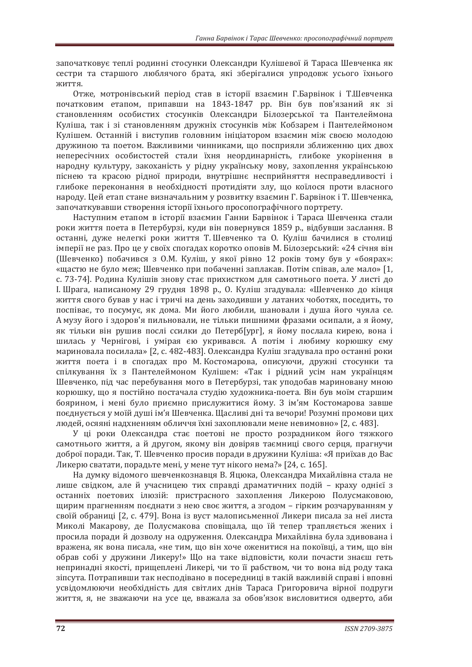започатковує теплі родинні стосунки Олександри Кулішевої й Тараса Шевченка як сестри та старшого люблячого брата, які зберігалися упродовж усього їхнього ЖИТТЯ.

Отже, мотронівський період став в історії взаємин Г.Барвінок і Т.Шевченка початковим етапом, припавши на 1843-1847 рр. Він був пов'язаний як зі становленням особистих стосунків Олександри Білозерської та Пантелеймона Куліша, так і зі становленням дружніх стосунків між Кобзарем і Пантелеймоном Кулішем. Останній і виступив головним ініціатором взаємин між своєю молодою дружиною та поетом. Важливими чинниками, що посприяли зближенню цих двох непересічних особистостей стали їхня неординарність, глибоке укорінення в народну культуру, закоханість у рідну українську мову, захоплення українською піснею та красою рідної природи, внутрішнє несприйняття несправедливості і глибоке переконання в необхідності протидіяти злу, що коїлося проти власного народу. Цей етап стане визначальним у розвитку взаємин Г. Барвінок і Т. Шевченка, започаткувавши створення історії їхнього просопографічного портрету.

Наступним етапом в історії взаємин Ганни Барвінок і Тараса Шевченка стали роки життя поета в Петербурзі, куди він повернувся 1859 р., відбувши заслання. В останні, дуже нелегкі роки життя Т. Шевченко та О. Куліш бачилися в столиці імперії не раз. Про це у своїх спогадах коротко оповів М. Білозерський: «24 січня він (Шевченко) побачився з О.М. Куліш, у якої рівно 12 років тому був у «боярах»: «щастю не було меж; Шевченко при побаченні заплакав. Потім співав, але мало» [1, с. 73-74]. Родина Кулішів знову стає прихистком для самотнього поета. У листі до I. Шрага, написаному 29 грудня 1898 р., О. Куліш згадувала: «Шевченко до кінця життя свого бував у нас і тричі на день заходивши у латаних чоботях, поседить, то поспіває, то посумує, як дома. Ми його любили, шановали і душа його чуяла се. А музу його і здоров'я пильновали, не тільки пишними фразами осипали, а я йому. як тільки він рушив послі ссилки до Петерб[ург], я йому послала кирею, вона і шилась у Чернігові, і умірая єю укривався. А потім і любиму корюшку єму мариновала посилала» [2, с. 482-483]. Олександра Куліш згадувала про останні роки життя поета і в спогадах про М. Костомарова, описуючи, дружні стосунки та спілкування їх з Пантелеймоном Кулішем: «Так і рідний усім нам українцям Шевченко, під час перебування мого в Петербурзі, так уподобав мариновану мною корюшку, що я постійно постачала студію художника-поета. Він був моїм старшим боярином, і мені було приємно прислужитися йому. З ім'ям Костомарова завше поєднується у моїй душі ім'я Шевченка. Щасливі дні та вечори! Розумні промови цих людей, осяяні надхненням обличчя їхні захоплювали мене невимовно» [2, с. 483].

У ці роки Олександра стає поетові не просто розрадником його тяжкого самотнього життя, а й другом, якому він довіряв таємниці свого серця, прагнучи доброї поради. Так, Т. Шевченко просив поради в дружини Куліша: «Я приїхав до Вас Ликерю сватати, порадьте мені, у мене тут нікого нема?» [24, с. 165].

На думку відомого шевченкознавця В. Яцюка, Олександра Михайлівна стала не лише свідком, але й учасницею тих справді драматичних подій - краху однієї з останніх поетових ілюзій: пристрасного захоплення Ликерою Полусмаковою, щирим прагненням поєднати з нею своє життя, а згодом - гірким розчаруванням у своїй обраниці [2, с. 479]. Вона із вуст малописьменної Ликери писала за неї листа Миколі Макарову, де Полусмакова сповіщала, що їй тепер трапляється жених і просила поради й дозволу на одруження. Олександра Михайлівна була здивована і вражена, як вона писала, «не тим, що він хоче оженитися на покоївці, а тим, що він обрав собі у дружини Ликеру!» Що на таке відповісти, коли почасти знаєш геть непринадні якості, прищеплені Ликері, чи то її рабством, чи то вона від роду така зіпсута. Потрапивши так несполівано в посерелниці в такій важливій справі і вповні усвідомлюючи необхідність для світлих днів Тараса Григоровича вірної подруги життя, я, не зважаючи на усе це, вважала за обов'язок висловитися одверто, аби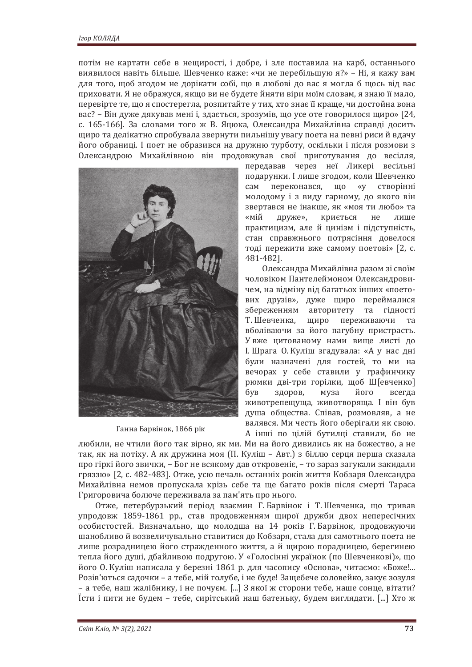потім не картати себе в нещирості, і добре, і зле поставила на карб, останнього виявилося навіть більше. Шевченко каже: «чи не перебільшую я?» - Ні, я кажу вам для того, щоб згодом не дорікати собі, що в любові до вас я могла б щось від вас приховати. Я не ображуся, якщо ви не будете йняти віри моїм словам, я знаю її мало, перевірте те, що я спостерегла, розпитайте у тих, хто знає її краще, чи достойна вона вас? – Він дуже дякував мені і, здається, зрозумів, що усе оте говорилося щиро» [24, с. 165-166]. За словами того ж В. Яцюка, Олександра Михайлівна справді досить щиро та делікатно спробувала звернути пильнішу увагу поета на певні риси й вдачу його обраниці. І поет не образився на дружню турботу, оскільки і після розмови з Олександрою Михайлівною він продовжував свої приготування до весілля,



Ганна Барвінок, 1866 рік

передавав через неї Ликері весільні подарунки. І лише згодом, коли Шевченко сам переконався, що «у створінні молодому і з виду гарному, до якого він звертався не інакше, як «моя ти любо» та «мій друже», криється не лише практицизм, але й цинізм і підступність, стан справжнього потрясіння довелося тоді пережити вже самому поетові» [2, с. 481-482].

Олександра Михайлівна разом зі своїм чоловіком Пантелеймоном Олександровичем, на відміну від багатьох інших «поетових друзів», дуже щиро переймалися збереженням авторитету та гідності Т. Шевченка, щиро переживаючи та вболіваючи за його пагубну пристрасть. У вже цитованому нами вище листі до I. Шрага О. Куліш згадувала: «А у нас дні були назначені для гостей, то ми на вечорах у себе ставили у графинчику рюмки дві-три горілки, щоб Ш[евченко] був здоров, муза його всегда животрепещуща, животворяща. І він був душа общества. Співав, розмовляв, а не валявся. Ми честь його оберігали як свою. А інші по цілій бутилці ставили, бо не

любили, не чтили його так вірно, як ми. Ми на його дивились як на божество, а не так, як на потіху. А як дружина моя (П. Куліш - Авт.) з біллю серця перша сказала про гіркі його звички. – Бог не всякому дав откровеніє. – то зараз загукали закидали гряззю» [2, с. 482-483]. Отже, усю печаль останніх років життя Кобзаря Олександра Михайлівна немов пропускала крізь себе та ще багато років після смерті Тараса Григоровича болюче переживала за пам'ять про нього.

Отже, петербурзький період взаємин Г. Барвінок і Т. Шевченка, що тривав упродовж 1859-1861 рр., став продовженням щирої дружби двох непересічних особистостей. Визначально, що молодша на 14 років Г. Барвінок, продовжуючи шанобливо й возвеличувально ставитися до Кобзаря, стала для самотнього поета не лише розрадницею його стражденного життя, а й щирою порадницею, берегинею тепла його душі, дбайливою подругою. У «Голосінні українок (по Шевченкові)», що його О. Куліш написала у березні 1861 р. для часопису «Основа», читаємо: «Боже!... Розів'ються садочки - а тебе, мій голубе, і не буде! Защебече соловейко, закує зозуля – а тебе, наш жалібнику, і не почуєм. [...] З якої ж сторони тебе, наше сонце, вітати? Ïсти i пити не будем - тебе, сирітський наш батеньку, будем виглядати. [...] Хто ж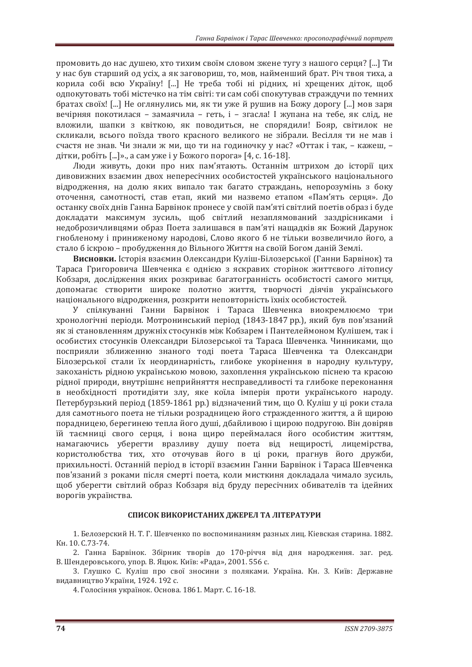промовить до нас душею, хто тихим своїм словом зжене тугу з нашого серця? [...] Ти у нас був старший од усіх, а як заговориш, то, мов, найменший брат. Річ твоя тиха, а корила собі всю Україну! [...] Не треба тобі ні рідних, ні хрещених діток, щоб одпокутовать тобі містечко на тім світі: ти сам собі спокутував страждучи по темних братах своїх! [...] Не оглянулись ми, як ти уже й рушив на Божу дорогу [...] мов заря вечірняя покотилася – замаячила – геть, і – згасла! І жупана на тебе, як слід, не вложили, шапки з квіткою, як поводиться, не спорядили! Бояр, світилок не скликали, всього поїзда твого красного великого не зібрали. Весілля ти не мав і счастя не знав. Чи знали ж ми, що ти на годиночку у нас? «Оттак і так, - кажеш, дітки, робіть [...]», а сам уже і у Божого порога» [4, с. 16-18].

Люди живуть, доки про них пам'ятають. Останнім штрихом до історії цих дивовижних взаємин двох непересічних особистостей українського національного відродження, на долю яких випало так багато страждань, непорозумінь з боку оточення, самотності, став етап, який ми назвемо етапом «Пам'ять серця». До останку своїх днів Ганна Барвінок пронесе у своїй пам'яті світлий поетів образ і буде докладати максимум зусиль, щоб світлий незаплямований заздрісниками і недоброзичливцями образ Поета залишався в пам'яті нащадків як Божий Дарунок гнобленому і приниженому народові, Слово якого б не тільки возвеличило його, а стало б іскрою – пробудження до Вільного Життя на своїй Богом даній Землі.

**Висновки.** Історія взаємин Олександри Куліш-Білозерської (Ганни Барвінок) та Тараса Григоровича Шевченка є однією з яскравих сторінок життєвого літопису Кобзаря, дослідження яких розкриває багатогранність особистості самого митця, допомагає створити широке полотно життя, творчості діячів українського національного відродження, розкрити неповторність їхніх особистостей.

У спілкуванні Ганни Барвінок і Тараса Шевченка виокремлюємо три хронологічні періоди. Мотронинський період (1843-1847 рр.), який був пов'язаний як зі становленням дружніх стосунків між Кобзарем і Пантелеймоном Кулішем, так і особистих стосунків Олександри Білозерської та Тараса Шевченка. Чинниками, що посприяли зближенню знаного тоді поета Тараса Шевченка та Олександри Білозерської стали їх неординарність, глибоке укорінення в народну культуру, закоханість рідною українською мовою, захоплення українською піснею та красою рідної природи, внутрішнє неприйняття несправедливості та глибоке переконання в необхідності протидіяти злу, яке коїла імперія проти українського народу. Петербурзький період (1859-1861 рр.) відзначений тим, що О. Куліш у ці роки стала для самотнього поета не тільки розрадницею його стражденного життя, а й щирою порадницею, берегинею тепла його душі, дбайливою і щирою подругою. Він довіряв їй таємниці свого серця, і вона щиро переймалася його особистим життям, намагаючись уберегти вразливу душу поета від нещирості, лицемірства, користолюбства тих, хто оточував його в ці роки, прагнув його дружби, прихильності. Останній період в історії взаємин Ганни Барвінок і Тараса Шевченка пов'язаний з роками після смерті поета, коли мисткиня докладала чимало зусиль, щоб уберегти світлий образ Кобзаря від бруду пересічних обивателів та ідейних ворогів українства.

#### СПИСОК ВИКОРИСТАНИХ ДЖЕРЕЛ ТА ЛІТЕРАТУРИ

1. Белозерский Н. Т. Г. Шевченко по воспоминаниям разных лиц. Кіевская старина. 1882. Κ<sub>Η</sub>, 10, C.73-74.

2. Ганна Барвінок. Збірник творів до 170-річчя від дня народження. заг. ред. В. Шендеровського, упор. В. Яцюк. Київ: «Рада», 2001. 556 с.

3. Глушко С. Куліш про свої зносини з поляками. Україна. Кн. 3. Київ: Державне видавництво України, 1924. 192 с.

4. Голосіння українок. Основа. 1861. Март. С. 16-18.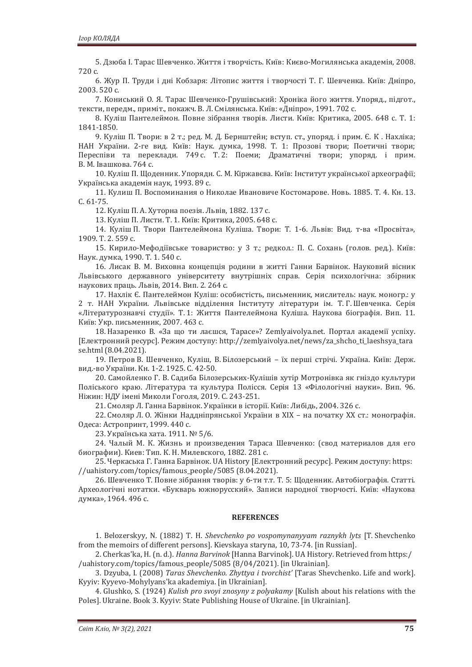5. Дзюба І. Тарас Шевченко. Життя і творчість. Київ: Києво-Могилянська академія, 2008. 720 с.

6. Жур П. Труди і дні Кобзаря: Літопис життя і творчості Т. Г. Шевченка. Київ: Дніпро, 2003.520 c.

7. Кониський О. Я. Тарас Шевченко-Грушівський: Хроніка його життя. Упоряд., підгот., тексти, передм., приміт., покажч. В. Л. Смілянська. Київ: «Дніпро», 1991. 702 с.

8. Куліш Пантелеймон. Повне зібрання творів. Листи. Київ: Критика, 2005. 648 с. Т. 1: 1841-1850.

9. Куліш П. Твори: в 2 т.; ред. М. Д. Бернштейн; вступ. ст., упоряд. і прим. Є. К. Нахліка; НАН України. 2-ге вид. Київ: Наук. думка, 1998. Т. 1: Прозові твори; Поетичні твори; Переспіви та переклади. 749 с. Т.2: Поеми; Драматичні твори; упоряд. і прим. В. М. Івашкова. 764 с.

10. Куліш П. Щоденник. Упорядн. С. М. Кіржавєва. Київ: Інститут української археографії; Українська академія наук, 1993. 89 с.

11. Кулиш П. Воспоминания о Николае Ивановиче Костомарове. Новь. 1885. Т. 4. Кн. 13. C. 61-75.

12. Куліш П. А. Хуторна поезія. Львів, 1882. 137 с.

13. Куліш П. Листи. Т. 1. Київ: Критика, 2005. 648 с.

14. Куліш П. Твори Пантелеймона Куліша. Твори: Т. 1-6. Львів: Вид. т-ва «Просвіта», 1909. T. 2. 559 c.

15. Кирило-Мефодіївське товариство: у 3 т.; редкол.: П. С. Сохань (голов. ред.). Київ: Наук. думка, 1990. Т. 1. 540 с.

16. Лисак В. М. Виховна концепція родини в житті Ганни Барвінок. Науковий вісник Львівського державного університету внутрішніх справ. Серія психологічна: збірник наукових праць. Львів, 2014. Вип. 2. 264 с.

17. Нахлік Є. Пантелеймон Куліш: особистість, письменник, мислитель: наук. моногр.: у 2 т. НАН України. Львівське відділення Інституту літератури ім. Т.Г.Шевченка. Серія «Літературознавчі студії». Т. 1: Життя Пантелеймона Куліша. Наукова біографія. Вип. 11. Київ: Укр. письменник, 2007. 463 с.

18. Назаренко В. «За що ти лаєшся, Тарасе»? Zemlyaivolya.net. Портал академії успіху. [Електронний ресурс]. Режим доступу: http://zemlyaivolya.net/news/za\_shcho\_ti\_laeshsya\_tara se.html (8.04.2021).

19. Петров В. Шевченко, Куліш, В. Білозерський - їх перші стрічі. Україна. Київ: Держ. вид.-во України. Кн. 1-2. 1925. С. 42-50.

20. Самойленко Г. В. Садиба Білозерських-Кулішів хутір Мотронівка як гніздо культури Поліського краю. Література та культура Полісся. Серія 13 «Філологічні науки». Вип. 96. Ніжин: НДУ імені Миколи Гоголя, 2019. С. 243-251.

21. Смоляр Л. Ганна Барвінок. Українки в історії. Київ: Либідь, 2004. 326 с.

22. Смоляр Л. О. Жінки Наддніпрянської України в XIX - на початку XX ст.: монографія. Одеса: Астропринт, 1999. 440 с.

23. Українська хата. 1911. № 5/6.

24. Чалый М. К. Жизнь и произведения Тараса Шевченко: (свод материалов для его биографии). Киев: Тип. К. Н. Милевского, 1882. 281 с.

25. Черкаська Г. Ганна Барвінок. UA History [Електронний ресурс]. Режим доступу: https: //uahistory.com/topics/famous\_people/5085 (8.04.2021).

26. Шевченко Т. Повне зібрання творів: у 6-ти т.т. Т. 5: Шоденник. Автобіографія. Статті. Археологічні нотатки. «Букварь южнорусский». Записи народної творчості. Київ: «Наукова думка», 1964. 496 с.

#### **REFERENCES**

1. Belozerskyy, N. (1882) T. H. *Shevchenko po vospomynanyyam raznykh lyts* [T. Shevchenko from the memoirs of different persons]. Kievskaya staryna, 10, 73-74. [in Russian].

2. Cherkas'ka, H. (n. d.). Hanna Barvinok [Hanna Barvinok]. UA History. Retrieved from https:/ /uahistory.com/topics/famous\_people/5085 (8/04/2021). [in Ukrainian].

3. Dzyuba, I. (2008) Taras Shevchenko. Zhyttya i tvorchist' [Taras Shevchenko. Life and work]. Kyyiy: Kyyevo-Mohylyans'ka akademiya. [in Ukrainian].

4. Glushko, S. (1924) Kulish pro svoyi znosyny z polyakamy [Kulish about his relations with the Poles]. Ukraine. Book 3. Kyyiy: State Publishing House of Ukraine. [in Ukrainian].